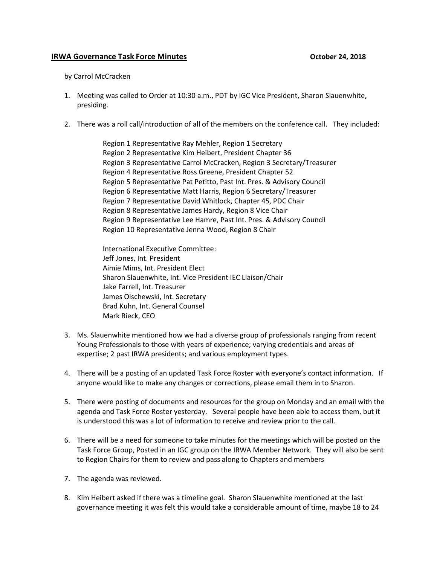## **IRWA Governance Task Force Minutes** *COVERSIBUTER 18 AMORE 24, 2018*

## by Carrol McCracken

- 1. Meeting was called to Order at 10:30 a.m., PDT by IGC Vice President, Sharon Slauenwhite, presiding.
- 2. There was a roll call/introduction of all of the members on the conference call. They included:

Region 1 Representative Ray Mehler, Region 1 Secretary Region 2 Representative Kim Heibert, President Chapter 36 Region 3 Representative Carrol McCracken, Region 3 Secretary/Treasurer Region 4 Representative Ross Greene, President Chapter 52 Region 5 Representative Pat Petitto, Past Int. Pres. & Advisory Council Region 6 Representative Matt Harris, Region 6 Secretary/Treasurer Region 7 Representative David Whitlock, Chapter 45, PDC Chair Region 8 Representative James Hardy, Region 8 Vice Chair Region 9 Representative Lee Hamre, Past Int. Pres. & Advisory Council Region 10 Representative Jenna Wood, Region 8 Chair

International Executive Committee: Jeff Jones, Int. President Aimie Mims, Int. President Elect Sharon Slauenwhite, Int. Vice President IEC Liaison/Chair Jake Farrell, Int. Treasurer James Olschewski, Int. Secretary Brad Kuhn, Int. General Counsel Mark Rieck, CEO

- 3. Ms. Slauenwhite mentioned how we had a diverse group of professionals ranging from recent Young Professionals to those with years of experience; varying credentials and areas of expertise; 2 past IRWA presidents; and various employment types.
- 4. There will be a posting of an updated Task Force Roster with everyone's contact information. If anyone would like to make any changes or corrections, please email them in to Sharon.
- 5. There were posting of documents and resources for the group on Monday and an email with the agenda and Task Force Roster yesterday. Several people have been able to access them, but it is understood this was a lot of information to receive and review prior to the call.
- 6. There will be a need for someone to take minutes for the meetings which will be posted on the Task Force Group, Posted in an IGC group on the IRWA Member Network. They will also be sent to Region Chairs for them to review and pass along to Chapters and members
- 7. The agenda was reviewed.
- 8. Kim Heibert asked if there was a timeline goal. Sharon Slauenwhite mentioned at the last governance meeting it was felt this would take a considerable amount of time, maybe 18 to 24